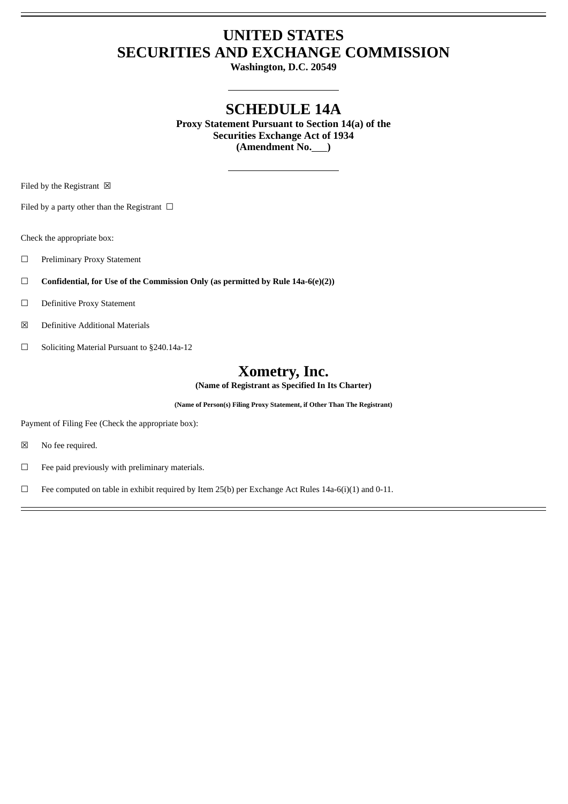# **UNITED STATES SECURITIES AND EXCHANGE COMMISSION**

**Washington, D.C. 20549**

# **SCHEDULE 14A**

**Proxy Statement Pursuant to Section 14(a) of the Securities Exchange Act of 1934 (Amendment No. )**

Filed by the Registrant  $\boxtimes$ 

Filed by a party other than the Registrant  $\Box$ 

Check the appropriate box:

- ☐ Preliminary Proxy Statement
- ☐ **Confidential, for Use of the Commission Only (as permitted by Rule 14a-6(e)(2))**
- ☐ Definitive Proxy Statement
- ☒ Definitive Additional Materials
- ☐ Soliciting Material Pursuant to §240.14a-12

# **Xometry, Inc.**

**(Name of Registrant as Specified In Its Charter)**

**(Name of Person(s) Filing Proxy Statement, if Other Than The Registrant)**

Payment of Filing Fee (Check the appropriate box):

☒ No fee required.

☐ Fee paid previously with preliminary materials.

□ Fee computed on table in exhibit required by Item 25(b) per Exchange Act Rules 14a-6(i)(1) and 0-11.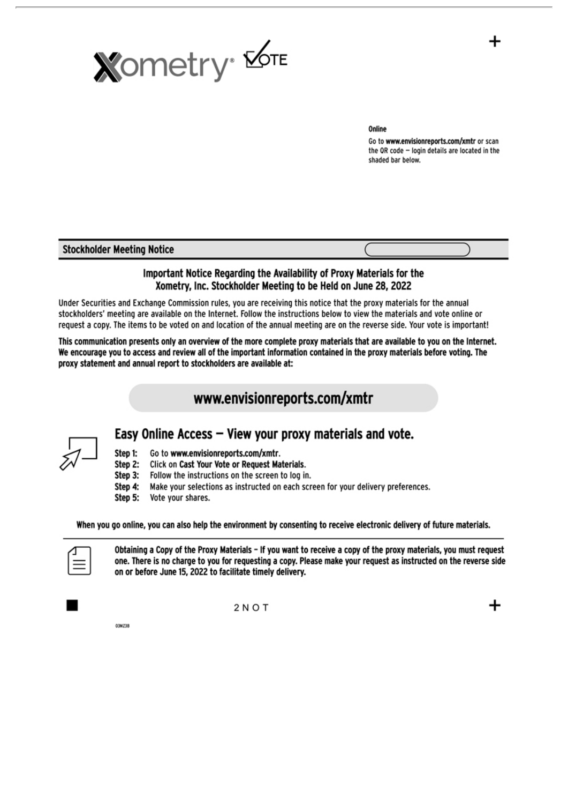

Go to www.envisionreports.com/xmtr or scan the OR code - login details are located in the shaded bar below.

#### **Stockholder Meeting Notice**

# Important Notice Regarding the Availability of Proxy Materials for the Xometry, Inc. Stockholder Meeting to be Held on June 28, 2022

Under Securities and Exchange Commission rules, you are receiving this notice that the proxy materials for the annual stockholders' meeting are available on the Internet. Follow the instructions below to view the materials and vote online or request a copy. The items to be voted on and location of the annual meeting are on the reverse side. Your vote is important!

This communication presents only an overview of the more complete proxy materials that are available to you on the Internet. We encourage you to access and review all of the important information contained in the proxy materials before voting. The proxy statement and annual report to stockholders are available at:

# www.envisionreports.com/xmtr



#### Step 1: Go to www.envisionreports.com/xmtr.

- Click on Cast Your Vote or Request Materials. Step 2:
- Step 3: Follow the instructions on the screen to log in.
- Step 4: Make your selections as instructed on each screen for your delivery preferences.

Easy Online Access - View your proxy materials and vote.

Step 5: Vote your shares.

When you go online, you can also help the environment by consenting to receive electronic delivery of future materials.



Obtaining a Copy of the Proxy Materials - If you want to receive a copy of the proxy materials, you must request one. There is no charge to you for requesting a copy. Please make your request as instructed on the reverse side on or before June 15, 2022 to facilitate timely delivery.

03MZ38

 $2NOT$ 

┿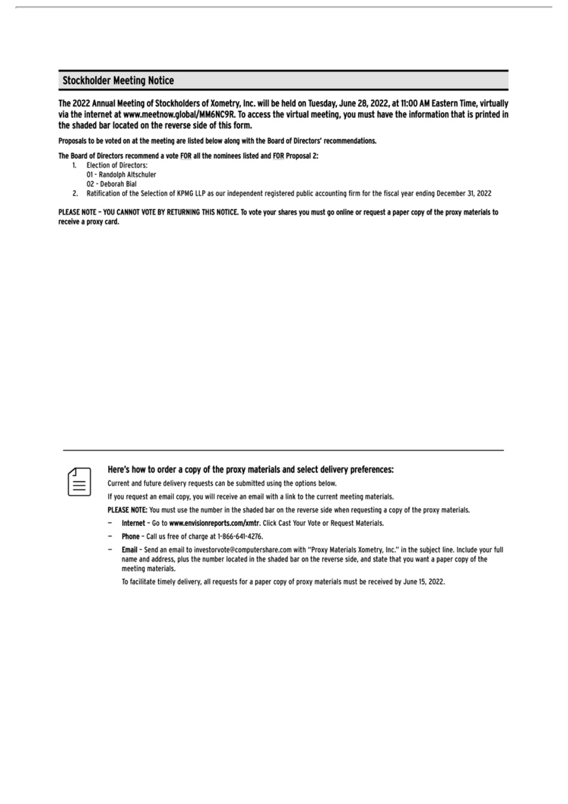### **Stockholder Meeting Notice**

The 2022 Annual Meeting of Stockholders of Xometry, Inc. will be held on Tuesday, June 28, 2022, at 11:00 AM Eastern Time, virtually via the internet at www.meetnow.global/MM6NC9R. To access the virtual meeting, you must have the information that is printed in the shaded bar located on the reverse side of this form.

Proposals to be voted on at the meeting are listed below along with the Board of Directors' recommendations.

The Board of Directors recommend a vote FOR all the nominees listed and FOR Proposal 2:

- **Election of Directors:** 1.
	- 01 Randolph Altschuler
	- 02 Deborah Bial
- 2. Ratification of the Selection of KPMG LLP as our independent registered public accounting firm for the fiscal year ending December 31, 2022

PLEASE NOTE - YOU CANNOT VOTE BY RETURNING THIS NOTICE. To vote your shares you must go online or request a paper copy of the proxy materials to receive a proxy card.



#### Here's how to order a copy of the proxy materials and select delivery preferences:

Current and future delivery requests can be submitted using the options below.

If you request an email copy, you will receive an email with a link to the current meeting materials.

PLEASE NOTE: You must use the number in the shaded bar on the reverse side when requesting a copy of the proxy materials.

- $\overline{a}$ Internet - Go to www.envisionreports.com/xmtr. Click Cast Your Vote or Request Materials.
- Phone Call us free of charge at 1-866-641-4276.
- Email Send an email to investorvote@computershare.com with "Proxy Materials Xometry, Inc." in the subject line. Include your full name and address, plus the number located in the shaded bar on the reverse side, and state that you want a paper copy of the meeting materials.

To facilitate timely delivery, all requests for a paper copy of proxy materials must be received by June 15, 2022.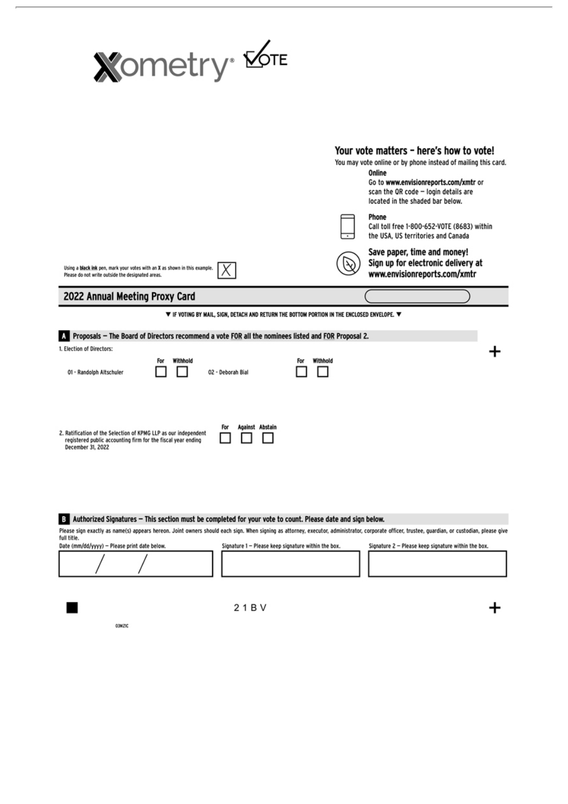

|                                                                                                                                                                                | Your vote matters - here's how to vote!<br>You may vote online or by phone instead of mailing this card.<br>Online<br>Go to www.envisionreports.com/xmtr or<br>scan the QR code - login details are<br>located in the shaded bar below. |  |  |
|--------------------------------------------------------------------------------------------------------------------------------------------------------------------------------|-----------------------------------------------------------------------------------------------------------------------------------------------------------------------------------------------------------------------------------------|--|--|
|                                                                                                                                                                                | Phone<br>Call toll free 1-800-652-VOTE (8683) within<br>the USA, US territories and Canada                                                                                                                                              |  |  |
| Using a black ink pen, mark your votes with an X as shown in this example.<br>Please do not write outside the designated areas.                                                | Save paper, time and money!<br>Sign up for electronic delivery at<br>www.envisionreports.com/xmtr                                                                                                                                       |  |  |
| 2022 Annual Meeting Proxy Card                                                                                                                                                 |                                                                                                                                                                                                                                         |  |  |
| $\blacktriangledown$ if voting by Mail, sign, detach and return the bottom portion in the enclosed envelope. $\blacktriangledown$                                              |                                                                                                                                                                                                                                         |  |  |
| Proposals - The Board of Directors recommend a vote FOR all the nominees listed and FOR Proposal 2.                                                                            |                                                                                                                                                                                                                                         |  |  |
| 1. Election of Directors:                                                                                                                                                      |                                                                                                                                                                                                                                         |  |  |
| Withhold<br>For<br>For<br>01 - Randolph Altschuler<br>02 - Deborah Bial                                                                                                        | Withhold                                                                                                                                                                                                                                |  |  |
| Against Abstain<br>For<br>2. Ratification of the Selection of KPMG LLP as our independent<br>registered public accounting firm for the fiscal year ending<br>December 31, 2022 |                                                                                                                                                                                                                                         |  |  |

# 3 Authorized Signatures - This section must be completed for your vote to count. Please date and sign below.

| Please sign exactly as name(s) appears hereon. Joint owners should each sign. When signing as attorney, executor, administrator, corporate officer, trustee, guardian, or custodian, please giv<br>full title. |                                                     |                                                     |
|----------------------------------------------------------------------------------------------------------------------------------------------------------------------------------------------------------------|-----------------------------------------------------|-----------------------------------------------------|
| Date (mm/dd/yyyy) - Please print date below.                                                                                                                                                                   | Signature 1 - Please keep signature within the box. | Signature 2 - Please keep signature within the box. |
|                                                                                                                                                                                                                |                                                     |                                                     |

**O3MZIC** 

■

21BV

 $\ddot{}$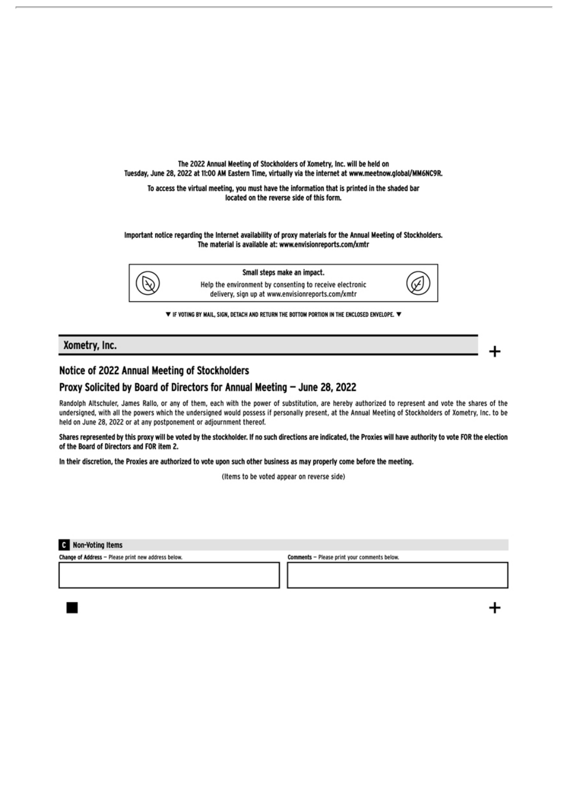

▼ IF VOTING BY MAIL, SIGN, DETACH AND RETURN THE BOTTOM PORTION IN THE ENCLOSED ENVELOPE. ▼

#### Xometry, Inc.

## Notice of 2022 Annual Meeting of Stockholders

#### Proxy Solicited by Board of Directors for Annual Meeting - June 28, 2022

Randolph Altschuler, James Rallo, or any of them, each with the power of substitution, are hereby authorized to represent and vote the shares of the undersigned, with all the powers which the undersigned would possess if personally present, at the Annual Meeting of Stockholders of Xometry, Inc. to be held on June 28, 2022 or at any postponement or adjournment thereof.

Shares represented by this proxy will be voted by the stockholder. If no such directions are indicated, the Proxies will have authority to vote FOR the election of the Board of Directors and FOR item 2.

In their discretion, the Proxies are authorized to vote upon such other business as may properly come before the meeting.

(Items to be voted appear on reverse side)

**C** Non-Voting Items

Change of Address - Please print new address below.

Comments - Please print your comments below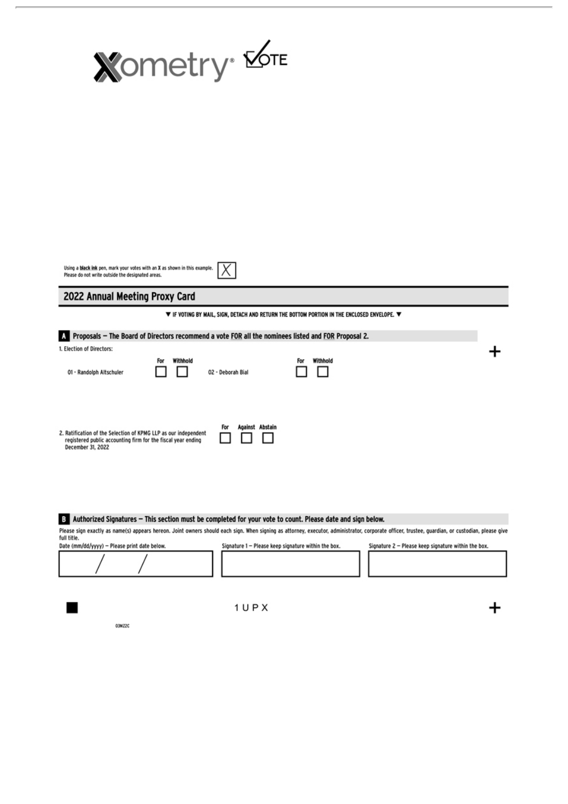

Using a black ink pen, mark your votes with an X as shown in this example.  $\not\blacktriangleright$ Please do not write outside the designated areas.

2022 Annual Meeting Proxy Card

▼ IF VOTING BY MAIL, SIGN, DETACH AND RETURN THE BOTTOM PORTION IN THE ENCLOSED ENVELOPE. ▼

#### A Proposals - The Board of Directors recommend a vote FOR all the nominees listed and FOR Proposal 2.

| 1. Election of Directors:                                                                                                                            |                 |                        |                 |  |
|------------------------------------------------------------------------------------------------------------------------------------------------------|-----------------|------------------------|-----------------|--|
| 01 - Randolph Altschuler                                                                                                                             | Withhold<br>For | 02 - Deborah Bial      | Withhold<br>For |  |
|                                                                                                                                                      |                 |                        |                 |  |
| 2. Ratification of the Selection of KPMG LLP as our independent<br>registered public accounting firm for the fiscal year ending<br>December 31, 2022 |                 | Against Abstain<br>For |                 |  |

#### 3 Authorized Signatures - This section must be completed for your vote to count. Please date and sign below.

Please sign exactly as name(s) appears hereon. Joint owners should each sign. When signing as attorney, executor, administrator, corporate officer, trustee, quardian, or custodian, please give full title. Date (mm/dd/yyyy) - Please print date below Signature 1 - Please keep signature within the box. Signature 2 - Please keep signature within the box.

03MZ2C

 $1UPX$ 

 $\div$ 

┿